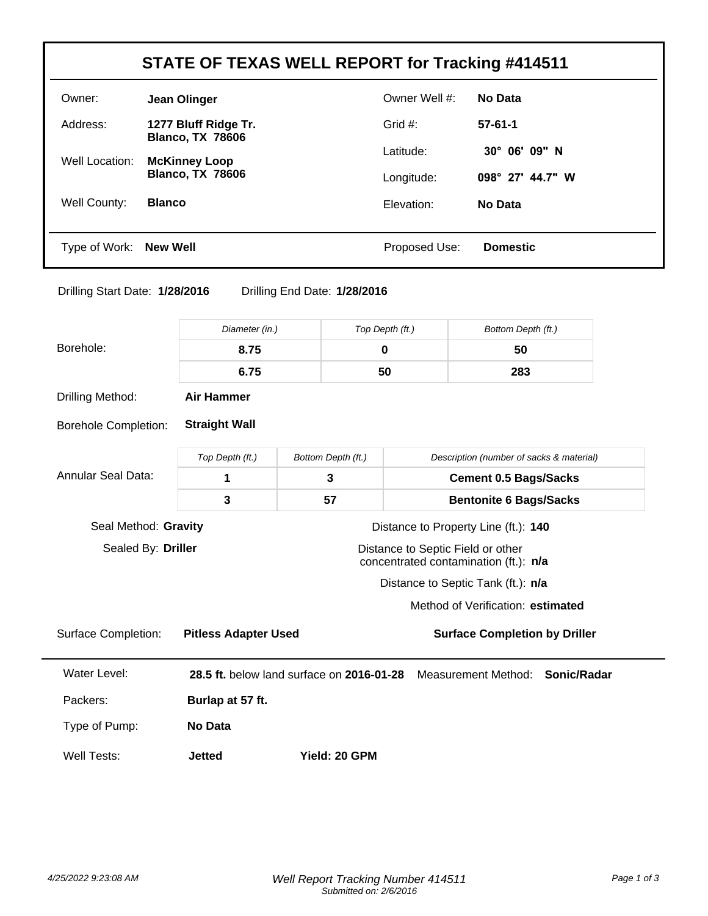| STATE OF TEXAS WELL REPORT for Tracking #414511 |                                                 |               |                        |
|-------------------------------------------------|-------------------------------------------------|---------------|------------------------|
| Owner:                                          | Jean Olinger                                    | Owner Well #: | No Data                |
| Address:                                        | 1277 Bluff Ridge Tr.<br><b>Blanco, TX 78606</b> | Grid $#$ :    | $57 - 61 - 1$          |
| Well Location:                                  | <b>McKinney Loop</b>                            | Latitude:     | $30^{\circ}$ 06' 09" N |
| <b>Blanco, TX 78606</b>                         |                                                 | Longitude:    | 098° 27' 44.7" W       |
| Well County:                                    | <b>Blanco</b>                                   | Elevation:    | No Data                |
|                                                 |                                                 |               |                        |
| Type of Work:                                   | New Well                                        | Proposed Use: | <b>Domestic</b>        |

Drilling Start Date: **1/28/2016** Drilling End Date: **1/28/2016**

|                             | Diameter (in.)                                                      | Top Depth (ft.)                           |                              | Bottom Depth (ft.)                                                         |  |
|-----------------------------|---------------------------------------------------------------------|-------------------------------------------|------------------------------|----------------------------------------------------------------------------|--|
| Borehole:                   | 8.75                                                                | $\mathbf 0$                               |                              | 50                                                                         |  |
|                             | 6.75                                                                | 50                                        |                              | 283                                                                        |  |
| Drilling Method:            | <b>Air Hammer</b>                                                   |                                           |                              |                                                                            |  |
| <b>Borehole Completion:</b> | <b>Straight Wall</b>                                                |                                           |                              |                                                                            |  |
|                             | Top Depth (ft.)                                                     | Bottom Depth (ft.)                        |                              | Description (number of sacks & material)                                   |  |
| <b>Annular Seal Data:</b>   | 1                                                                   | 3                                         | <b>Cement 0.5 Bags/Sacks</b> |                                                                            |  |
|                             | 3                                                                   | 57                                        |                              | <b>Bentonite 6 Bags/Sacks</b>                                              |  |
| Seal Method: Gravity        |                                                                     |                                           |                              | Distance to Property Line (ft.): 140                                       |  |
| Sealed By: Driller          |                                                                     |                                           |                              | Distance to Septic Field or other<br>concentrated contamination (ft.): n/a |  |
|                             |                                                                     |                                           |                              | Distance to Septic Tank (ft.): n/a                                         |  |
|                             |                                                                     |                                           |                              | Method of Verification: estimated                                          |  |
| <b>Surface Completion:</b>  | <b>Surface Completion by Driller</b><br><b>Pitless Adapter Used</b> |                                           |                              |                                                                            |  |
| Water Level:                |                                                                     | 28.5 ft. below land surface on 2016-01-28 |                              | Measurement Method: Sonic/Radar                                            |  |
| Packers:                    | Burlap at 57 ft.                                                    |                                           |                              |                                                                            |  |
| Type of Pump:               | No Data                                                             |                                           |                              |                                                                            |  |
| Well Tests:                 | <b>Jetted</b>                                                       | Yield: 20 GPM                             |                              |                                                                            |  |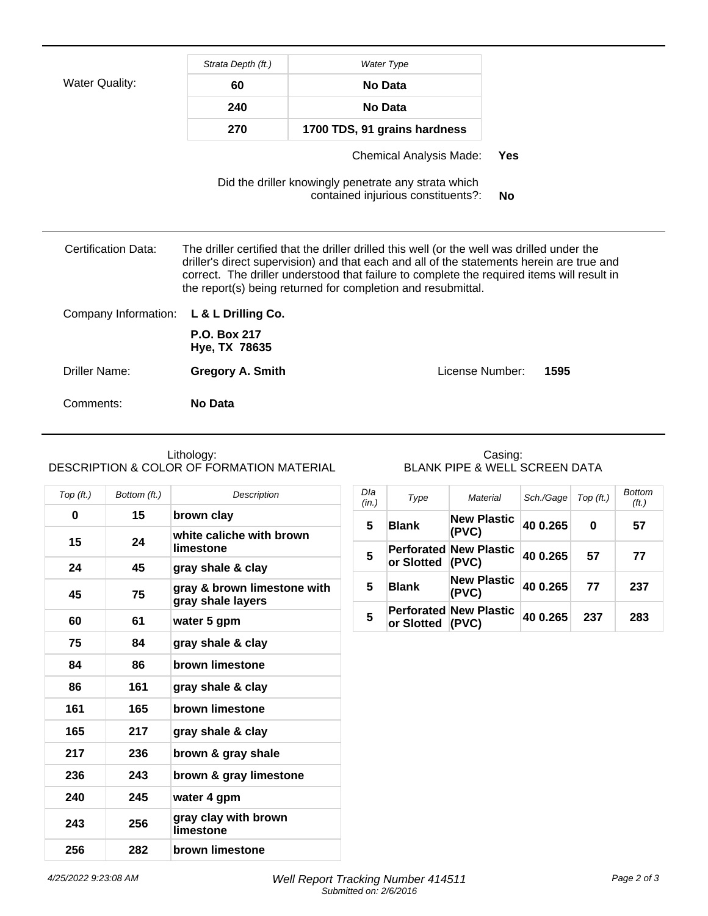|                       | Strata Depth (ft.)            | <b>Water Type</b>                                                                                                                                                                                                                                                                                                                                      |                 |      |
|-----------------------|-------------------------------|--------------------------------------------------------------------------------------------------------------------------------------------------------------------------------------------------------------------------------------------------------------------------------------------------------------------------------------------------------|-----------------|------|
| <b>Water Quality:</b> | 60                            | No Data                                                                                                                                                                                                                                                                                                                                                |                 |      |
|                       | 240                           | <b>No Data</b>                                                                                                                                                                                                                                                                                                                                         |                 |      |
|                       | 270                           | 1700 TDS, 91 grains hardness                                                                                                                                                                                                                                                                                                                           |                 |      |
|                       |                               | <b>Chemical Analysis Made:</b>                                                                                                                                                                                                                                                                                                                         | Yes             |      |
|                       |                               | Did the driller knowingly penetrate any strata which<br>contained injurious constituents?:                                                                                                                                                                                                                                                             | No              |      |
| Certification Data:   |                               | The driller certified that the driller drilled this well (or the well was drilled under the<br>driller's direct supervision) and that each and all of the statements herein are true and<br>correct. The driller understood that failure to complete the required items will result in<br>the report(s) being returned for completion and resubmittal. |                 |      |
| Company Information:  | L & L Drilling Co.            |                                                                                                                                                                                                                                                                                                                                                        |                 |      |
|                       | P.O. Box 217<br>Hye, TX 78635 |                                                                                                                                                                                                                                                                                                                                                        |                 |      |
| Driller Name:         | <b>Gregory A. Smith</b>       |                                                                                                                                                                                                                                                                                                                                                        | License Number: | 1595 |
| Comments:             | No Data                       |                                                                                                                                                                                                                                                                                                                                                        |                 |      |

## Lithology: DESCRIPTION & COLOR OF FORMATION MATERIAL

## Casing: BLANK PIPE & WELL SCREEN DATA

| Top (ft.) | Bottom (ft.) | Description                                      |
|-----------|--------------|--------------------------------------------------|
| 0         | 15           | brown clay                                       |
| 15        | 24           | white caliche with brown<br>limestone            |
| 24        | 45           | gray shale & clay                                |
| 45        | 75           | gray & brown limestone with<br>gray shale layers |
| 60        | 61           | water 5 gpm                                      |
| 75        | 84           | gray shale & clay                                |
| 84        | 86           | brown limestone                                  |
| 86        | 161          | gray shale & clay                                |
| 161       | 165          | brown limestone                                  |
| 165       | 217          | gray shale & clay                                |
| 217       | 236          | brown & gray shale                               |
| 236       | 243          | brown & gray limestone                           |
| 240       | 245          | water 4 gpm                                      |
| 243       | 256          | gray clay with brown<br>limestone                |
| 256       | 282          | brown limestone                                  |

| Dla<br>(in.)   | Type         | Material                               | Sch./Gage | Top (ft.) | <b>Bottom</b><br>(ft.) |
|----------------|--------------|----------------------------------------|-----------|-----------|------------------------|
| 5              | <b>Blank</b> | <b>New Plastic</b><br>(PVC)            | 40 0.265  | 0         | 57                     |
| $5\phantom{1}$ | or Slotted   | <b>Perforated New Plastic</b><br>(PVC) | 40 0.265  | 57        | 77                     |
| 5              | <b>Blank</b> | <b>New Plastic</b><br>(PVC)            | 40 0.265  | 77        | 237                    |
| 5              | or Slotted   | <b>Perforated New Plastic</b><br>(PVC) | 40 0.265  | 237       | 283                    |